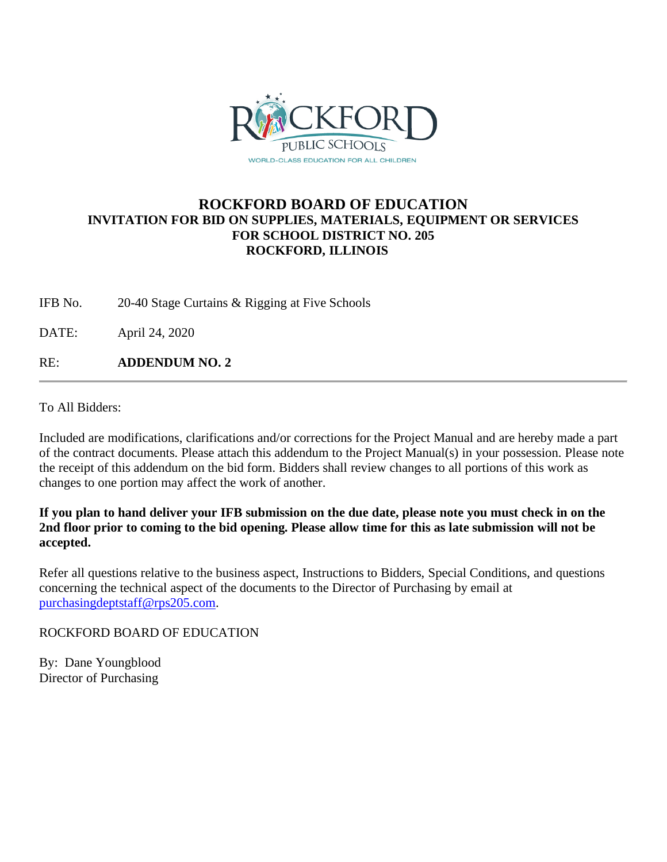

# **ROCKFORD BOARD OF EDUCATION INVITATION FOR BID ON SUPPLIES, MATERIALS, EQUIPMENT OR SERVICES FOR SCHOOL DISTRICT NO. 205 ROCKFORD, ILLINOIS**

IFB No. 20-40 Stage Curtains & Rigging at Five Schools

DATE: April 24, 2020

RE: **ADDENDUM NO. 2**

To All Bidders:

Included are modifications, clarifications and/or corrections for the Project Manual and are hereby made a part of the contract documents. Please attach this addendum to the Project Manual(s) in your possession. Please note the receipt of this addendum on the bid form. Bidders shall review changes to all portions of this work as changes to one portion may affect the work of another.

## **If you plan to hand deliver your IFB submission on the due date, please note you must check in on the 2nd floor prior to coming to the bid opening. Please allow time for this as late submission will not be accepted.**

Refer all questions relative to the business aspect, Instructions to Bidders, Special Conditions, and questions concerning the technical aspect of the documents to the Director of Purchasing by email at [purchasingdeptstaff@rps205.com.](mailto:purchasingdeptstaff@rps205.com)

ROCKFORD BOARD OF EDUCATION

By: Dane Youngblood Director of Purchasing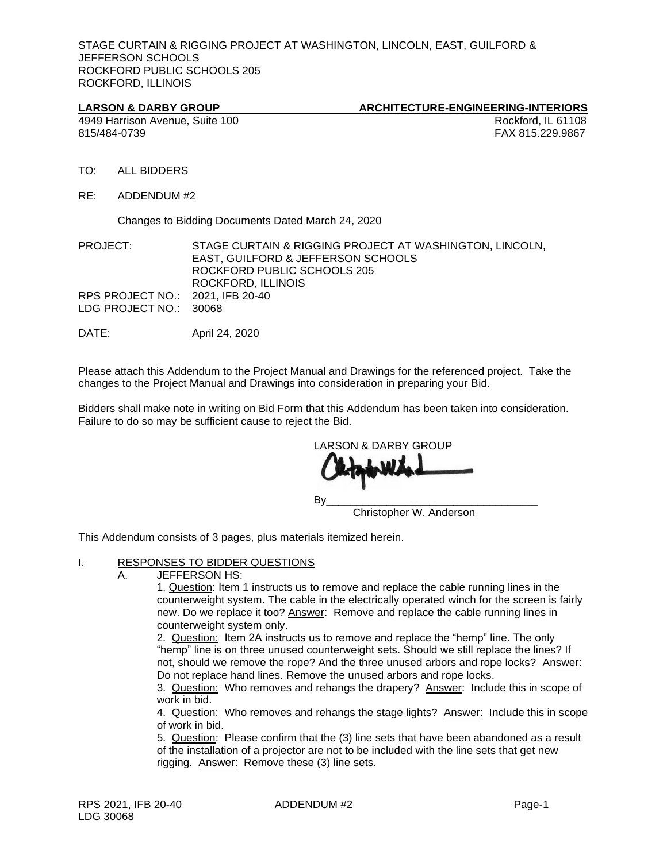STAGE CURTAIN & RIGGING PROJECT AT WASHINGTON, LINCOLN, EAST, GUILFORD & JEFFERSON SCHOOLS ROCKFORD PUBLIC SCHOOLS 205 ROCKFORD, ILLINOIS

#### LARSON & DARBY GROUP **ARCHITECTURE-ENGINEERING-INTERIORS**

4949 Harrison Avenue, Suite 100  $\blacksquare$  Rockford, IL 61108 815/484-0739 FAX 815.229.9867

- TO: ALL BIDDERS
- RE: ADDENDUM #2

Changes to Bidding Documents Dated March 24, 2020

PROJECT: STAGE CURTAIN & RIGGING PROJECT AT WASHINGTON, LINCOLN, EAST, GUILFORD & JEFFERSON SCHOOLS ROCKFORD PUBLIC SCHOOLS 205 ROCKFORD, ILLINOIS RPS PROJECT NO.: 2021, IFB 20-40 LDG PROJECT NO.: 30068

DATE: April 24, 2020

Please attach this Addendum to the Project Manual and Drawings for the referenced project. Take the changes to the Project Manual and Drawings into consideration in preparing your Bid.

Bidders shall make note in writing on Bid Form that this Addendum has been taken into consideration. Failure to do so may be sufficient cause to reject the Bid.

LARSON & DARBY GROUP By\_\_\_\_\_\_\_\_\_\_\_\_\_\_\_\_\_\_\_\_\_\_\_\_\_\_\_\_\_\_\_\_\_\_\_ Christopher W. Anderson

This Addendum consists of 3 pages, plus materials itemized herein.

### I. RESPONSES TO BIDDER QUESTIONS

A. JEFFERSON HS:

1. Question: Item 1 instructs us to remove and replace the cable running lines in the counterweight system. The cable in the electrically operated winch for the screen is fairly new. Do we replace it too? Answer: Remove and replace the cable running lines in counterweight system only.

2. Question: Item 2A instructs us to remove and replace the "hemp" line. The only "hemp" line is on three unused counterweight sets. Should we still replace the lines? If not, should we remove the rope? And the three unused arbors and rope locks? Answer: Do not replace hand lines. Remove the unused arbors and rope locks.

3. Question: Who removes and rehangs the drapery? Answer: Include this in scope of work in bid.

4. Question: Who removes and rehangs the stage lights? Answer: Include this in scope of work in bid.

5. Question: Please confirm that the (3) line sets that have been abandoned as a result of the installation of a projector are not to be included with the line sets that get new rigging. Answer: Remove these (3) line sets.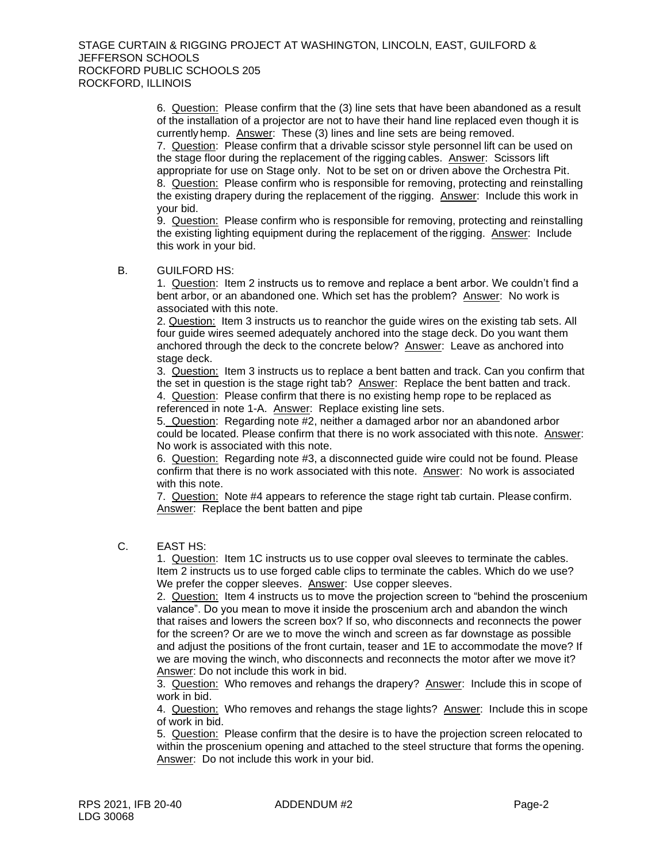6. Question: Please confirm that the (3) line sets that have been abandoned as a result of the installation of a projector are not to have their hand line replaced even though it is currently hemp. Answer: These (3) lines and line sets are being removed.

7. Question: Please confirm that a drivable scissor style personnel lift can be used on the stage floor during the replacement of the rigging cables. Answer: Scissors lift appropriate for use on Stage only. Not to be set on or driven above the Orchestra Pit. 8. Question: Please confirm who is responsible for removing, protecting and reinstalling the existing drapery during the replacement of the rigging. Answer: Include this work in your bid.

9. Question: Please confirm who is responsible for removing, protecting and reinstalling the existing lighting equipment during the replacement of the rigging. Answer: Include this work in your bid.

#### B. GUILFORD HS:

1. Question: Item 2 instructs us to remove and replace a bent arbor. We couldn't find a bent arbor, or an abandoned one. Which set has the problem? Answer: No work is associated with this note.

2. Question: Item 3 instructs us to reanchor the guide wires on the existing tab sets. All four guide wires seemed adequately anchored into the stage deck. Do you want them anchored through the deck to the concrete below? Answer: Leave as anchored into stage deck.

3. Question: Item 3 instructs us to replace a bent batten and track. Can you confirm that the set in question is the stage right tab? Answer: Replace the bent batten and track. 4. Question: Please confirm that there is no existing hemp rope to be replaced as referenced in note 1-A. Answer: Replace existing line sets.

5. Question: Regarding note #2, neither a damaged arbor nor an abandoned arbor could be located. Please confirm that there is no work associated with this note. Answer: No work is associated with this note.

6. Question: Regarding note #3, a disconnected guide wire could not be found. Please confirm that there is no work associated with this note. Answer: No work is associated with this note.

7. Question: Note #4 appears to reference the stage right tab curtain. Please confirm. Answer: Replace the bent batten and pipe

C. EAST HS:

1. Question: Item 1C instructs us to use copper oval sleeves to terminate the cables. Item 2 instructs us to use forged cable clips to terminate the cables. Which do we use? We prefer the copper sleeves. Answer: Use copper sleeves.

2. Question: Item 4 instructs us to move the projection screen to "behind the proscenium valance". Do you mean to move it inside the proscenium arch and abandon the winch that raises and lowers the screen box? If so, who disconnects and reconnects the power for the screen? Or are we to move the winch and screen as far downstage as possible and adjust the positions of the front curtain, teaser and 1E to accommodate the move? If we are moving the winch, who disconnects and reconnects the motor after we move it? Answer: Do not include this work in bid.

3. Question: Who removes and rehangs the drapery? Answer: Include this in scope of work in bid.

4. Question: Who removes and rehangs the stage lights? Answer: Include this in scope of work in bid.

5. Question: Please confirm that the desire is to have the projection screen relocated to within the proscenium opening and attached to the steel structure that forms the opening. Answer: Do not include this work in your bid.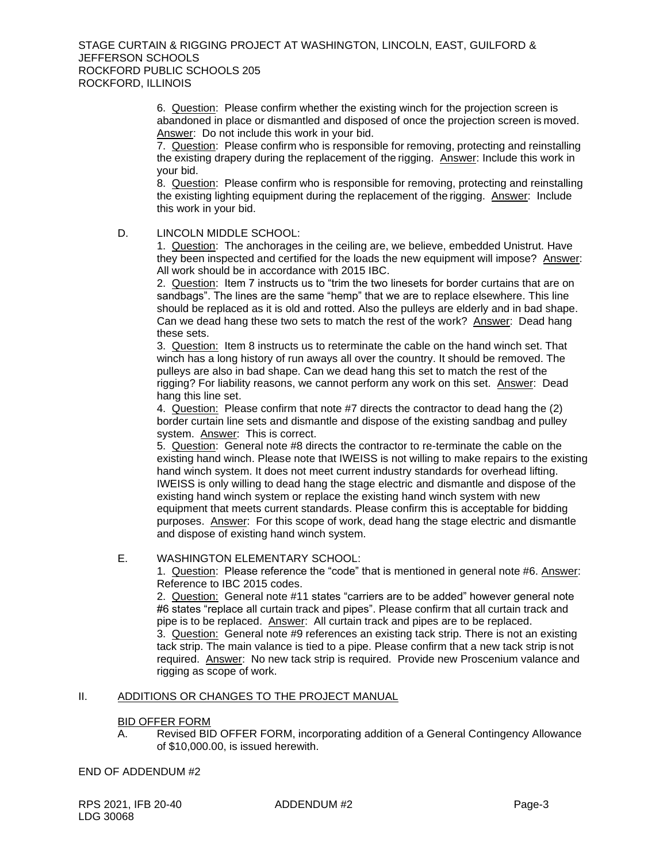#### STAGE CURTAIN & RIGGING PROJECT AT WASHINGTON, LINCOLN, EAST, GUILFORD & JEFFERSON SCHOOLS ROCKFORD PUBLIC SCHOOLS 205 ROCKFORD, ILLINOIS

6. Question: Please confirm whether the existing winch for the projection screen is abandoned in place or dismantled and disposed of once the projection screen is moved. Answer: Do not include this work in your bid.

7. Question: Please confirm who is responsible for removing, protecting and reinstalling the existing drapery during the replacement of the rigging. Answer: Include this work in your bid.

8. Question: Please confirm who is responsible for removing, protecting and reinstalling the existing lighting equipment during the replacement of the rigging. Answer: Include this work in your bid.

#### D. LINCOLN MIDDLE SCHOOL:

1. Question: The anchorages in the ceiling are, we believe, embedded Unistrut. Have they been inspected and certified for the loads the new equipment will impose? Answer: All work should be in accordance with 2015 IBC.

2. Question: Item 7 instructs us to "trim the two linesets for border curtains that are on sandbags". The lines are the same "hemp" that we are to replace elsewhere. This line should be replaced as it is old and rotted. Also the pulleys are elderly and in bad shape. Can we dead hang these two sets to match the rest of the work? Answer: Dead hang these sets.

3. Question: Item 8 instructs us to reterminate the cable on the hand winch set. That winch has a long history of run aways all over the country. It should be removed. The pulleys are also in bad shape. Can we dead hang this set to match the rest of the rigging? For liability reasons, we cannot perform any work on this set. Answer: Dead hang this line set.

4. Question: Please confirm that note #7 directs the contractor to dead hang the (2) border curtain line sets and dismantle and dispose of the existing sandbag and pulley system. Answer: This is correct.

5. Question: General note #8 directs the contractor to re-terminate the cable on the existing hand winch. Please note that IWEISS is not willing to make repairs to the existing hand winch system. It does not meet current industry standards for overhead lifting. IWEISS is only willing to dead hang the stage electric and dismantle and dispose of the existing hand winch system or replace the existing hand winch system with new equipment that meets current standards. Please confirm this is acceptable for bidding purposes. Answer: For this scope of work, dead hang the stage electric and dismantle and dispose of existing hand winch system.

#### E. WASHINGTON ELEMENTARY SCHOOL:

1. Question: Please reference the "code" that is mentioned in general note #6. Answer: Reference to IBC 2015 codes.

2. Question: General note #11 states "carriers are to be added" however general note #6 states "replace all curtain track and pipes". Please confirm that all curtain track and pipe is to be replaced. Answer: All curtain track and pipes are to be replaced. 3. Question: General note #9 references an existing tack strip. There is not an existing tack strip. The main valance is tied to a pipe. Please confirm that a new tack strip isnot required. Answer: No new tack strip is required. Provide new Proscenium valance and rigging as scope of work.

#### II. ADDITIONS OR CHANGES TO THE PROJECT MANUAL

#### BID OFFER FORM

A. Revised BID OFFER FORM, incorporating addition of a General Contingency Allowance of \$10,000.00, is issued herewith.

#### END OF ADDENDUM #2

RPS 2021, IFB 20-40 ADDENDUM #2 Page-3 LDG 30068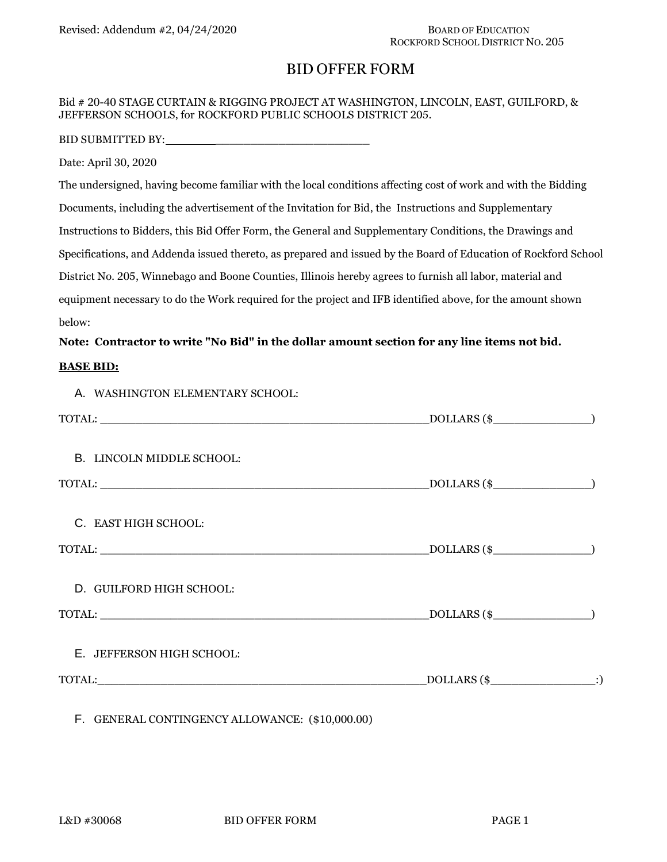# BID OFFER FORM

#### Bid # 20-40 STAGE CURTAIN & RIGGING PROJECT AT WASHINGTON, LINCOLN, EAST, GUILFORD, & JEFFERSON SCHOOLS, for ROCKFORD PUBLIC SCHOOLS DISTRICT 205.

BID SUBMITTED BY:

Date: April 30, 2020

The undersigned, having become familiar with the local conditions affecting cost of work and with the Bidding Documents, including the advertisement of the Invitation for Bid, the Instructions and Supplementary Instructions to Bidders, this Bid Offer Form, the General and Supplementary Conditions, the Drawings and Specifications, and Addenda issued thereto, as prepared and issued by the Board of Education of Rockford School District No. 205, Winnebago and Boone Counties, Illinois hereby agrees to furnish all labor, material and equipment necessary to do the Work required for the project and IFB identified above, for the amount shown below:

#### **Note: Contractor to write "No Bid" in the dollar amount section for any line items not bid.**

#### **BASE BID:**

A. WASHINGTON ELEMENTARY SCHOOL:

|                           | $DOLLARS$ (\$        |  |
|---------------------------|----------------------|--|
| B. LINCOLN MIDDLE SCHOOL: |                      |  |
|                           | $\text{DOLLARS}$ (\$ |  |
| C. EAST HIGH SCHOOL:      |                      |  |
|                           | $DOLLARS$ (\$        |  |
| D. GUILFORD HIGH SCHOOL:  |                      |  |
|                           | $DOLLARS$ (\$        |  |
| E. JEFFERSON HIGH SCHOOL: |                      |  |
|                           |                      |  |
|                           |                      |  |

F. GENERAL CONTINGENCY ALLOWANCE: (\$10,000.00)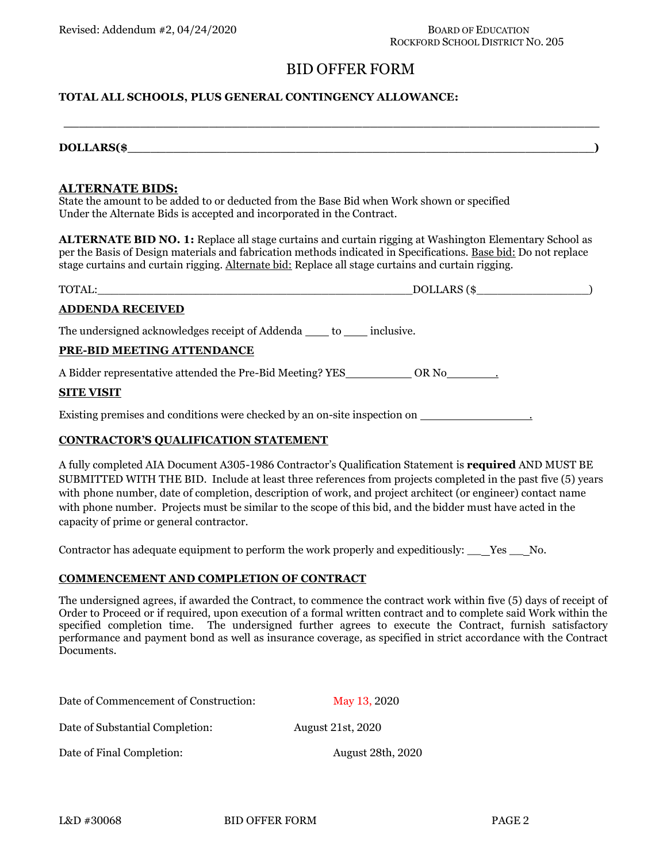# BID OFFER FORM

#### **TOTAL ALL SCHOOLS, PLUS GENERAL CONTINGENCY ALLOWANCE:**

| DOLLARS(\$ |  |  |
|------------|--|--|

**\_\_\_\_\_\_\_\_\_\_\_\_\_\_\_\_\_\_\_\_\_\_\_\_\_\_\_\_\_\_\_\_\_\_\_\_\_\_\_\_\_\_\_\_\_\_\_\_\_\_\_\_\_\_\_\_\_\_\_\_\_\_\_\_\_\_\_\_\_\_**

#### **ALTERNATE BIDS:**

State the amount to be added to or deducted from the Base Bid when Work shown or specified Under the Alternate Bids is accepted and incorporated in the Contract.

**ALTERNATE BID NO. 1:** Replace all stage curtains and curtain rigging at Washington Elementary School as per the Basis of Design materials and fabrication methods indicated in Specifications. Base bid: Do not replace stage curtains and curtain rigging. Alternate bid: Replace all stage curtains and curtain rigging.

|                                                                            | $DOLLARS$ (\$ |
|----------------------------------------------------------------------------|---------------|
| <b>ADDENDA RECEIVED</b>                                                    |               |
| The undersigned acknowledges receipt of Addenda _____ to ______ inclusive. |               |
| PRE-BID MEETING ATTENDANCE                                                 |               |
|                                                                            |               |
| <b>SITE VISIT</b>                                                          |               |
| Existing premises and conditions were checked by an on-site inspection on  |               |

#### **CONTRACTOR'S QUALIFICATION STATEMENT**

A fully completed AIA Document A305-1986 Contractor's Qualification Statement is **required** AND MUST BE SUBMITTED WITH THE BID. Include at least three references from projects completed in the past five (5) years with phone number, date of completion, description of work, and project architect (or engineer) contact name with phone number. Projects must be similar to the scope of this bid, and the bidder must have acted in the capacity of prime or general contractor.

Contractor has adequate equipment to perform the work properly and expeditiously: \_\_ Yes \_\_ No.

#### **COMMENCEMENT AND COMPLETION OF CONTRACT**

The undersigned agrees, if awarded the Contract, to commence the contract work within five (5) days of receipt of Order to Proceed or if required, upon execution of a formal written contract and to complete said Work within the specified completion time. The undersigned further agrees to execute the Contract, furnish satisfactory performance and payment bond as well as insurance coverage, as specified in strict accordance with the Contract Documents.

| Date of Commencement of Construction: | May 13, 2020             |
|---------------------------------------|--------------------------|
| Date of Substantial Completion:       | <b>August 21st, 2020</b> |
| Date of Final Completion:             | <b>August 28th, 2020</b> |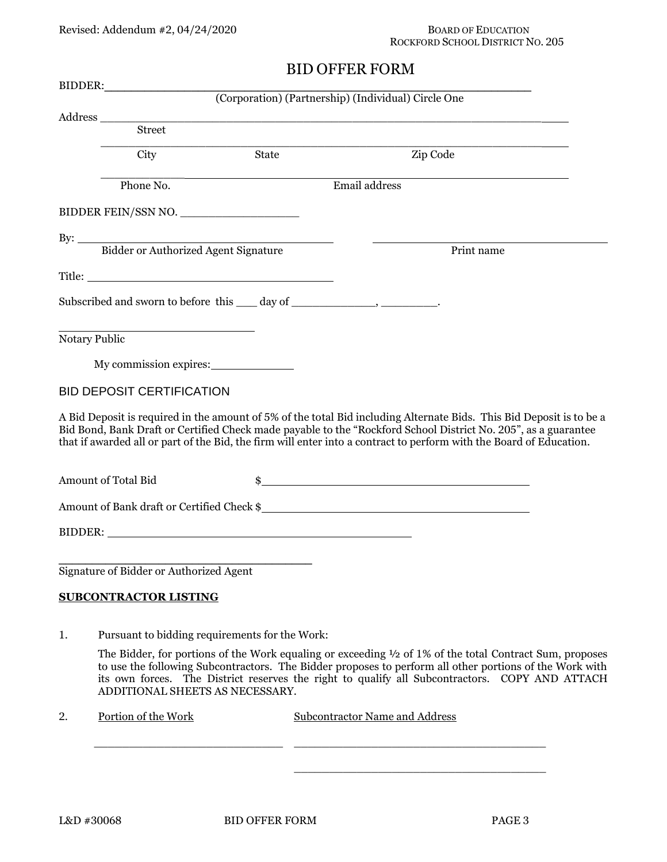# ROCKFORD SCHOOL DISTRICT NO. 205

# BID OFFER FORM

| BIDDER:       |                                                                                                                                                                                                                                                                                                                                                                                                                                                                                                                                                                                                                                          |       |                                                                                                                                                                                                                                                                                                                                                               |
|---------------|------------------------------------------------------------------------------------------------------------------------------------------------------------------------------------------------------------------------------------------------------------------------------------------------------------------------------------------------------------------------------------------------------------------------------------------------------------------------------------------------------------------------------------------------------------------------------------------------------------------------------------------|-------|---------------------------------------------------------------------------------------------------------------------------------------------------------------------------------------------------------------------------------------------------------------------------------------------------------------------------------------------------------------|
|               |                                                                                                                                                                                                                                                                                                                                                                                                                                                                                                                                                                                                                                          |       | (Corporation) (Partnership) (Individual) Circle One                                                                                                                                                                                                                                                                                                           |
|               | $\large \bf Address \underline{\hspace{1cm}} \underline{\hspace{1cm}} \underline{\hspace{1cm}} \underline{\hspace{1cm}} \underline{\hspace{1cm}} \underline{\hspace{1cm}} \underline{\hspace{1cm}} \underline{\hspace{1cm}} \underline{\hspace{1cm}} \underline{\hspace{1cm}} \underline{\hspace{1cm}} \underline{\hspace{1cm}} \underline{\hspace{1cm}} \underline{\hspace{1cm}} \underline{\hspace{1cm}} \underline{\hspace{1cm}} \underline{\hspace{1cm}} \underline{\hspace{1cm}} \underline{\hspace{1cm}} \underline{\hspace{1cm}} \underline{\hspace{1cm}} \underline{\hspace{1cm}} \underline{\hspace{1cm}} \underline{\hspace{1$ |       |                                                                                                                                                                                                                                                                                                                                                               |
|               |                                                                                                                                                                                                                                                                                                                                                                                                                                                                                                                                                                                                                                          |       |                                                                                                                                                                                                                                                                                                                                                               |
|               | City                                                                                                                                                                                                                                                                                                                                                                                                                                                                                                                                                                                                                                     | State | Zip Code                                                                                                                                                                                                                                                                                                                                                      |
|               | Phone No.                                                                                                                                                                                                                                                                                                                                                                                                                                                                                                                                                                                                                                |       | Email address                                                                                                                                                                                                                                                                                                                                                 |
|               | BIDDER FEIN/SSN NO.                                                                                                                                                                                                                                                                                                                                                                                                                                                                                                                                                                                                                      |       |                                                                                                                                                                                                                                                                                                                                                               |
|               |                                                                                                                                                                                                                                                                                                                                                                                                                                                                                                                                                                                                                                          |       |                                                                                                                                                                                                                                                                                                                                                               |
|               |                                                                                                                                                                                                                                                                                                                                                                                                                                                                                                                                                                                                                                          |       | Print name                                                                                                                                                                                                                                                                                                                                                    |
|               |                                                                                                                                                                                                                                                                                                                                                                                                                                                                                                                                                                                                                                          |       |                                                                                                                                                                                                                                                                                                                                                               |
|               | Subscribed and sworn to before this ____ day of ________________________________.                                                                                                                                                                                                                                                                                                                                                                                                                                                                                                                                                        |       |                                                                                                                                                                                                                                                                                                                                                               |
| Notary Public |                                                                                                                                                                                                                                                                                                                                                                                                                                                                                                                                                                                                                                          |       |                                                                                                                                                                                                                                                                                                                                                               |
|               | My commission expires:                                                                                                                                                                                                                                                                                                                                                                                                                                                                                                                                                                                                                   |       |                                                                                                                                                                                                                                                                                                                                                               |
|               | <b>BID DEPOSIT CERTIFICATION</b>                                                                                                                                                                                                                                                                                                                                                                                                                                                                                                                                                                                                         |       |                                                                                                                                                                                                                                                                                                                                                               |
|               |                                                                                                                                                                                                                                                                                                                                                                                                                                                                                                                                                                                                                                          |       | A Bid Deposit is required in the amount of 5% of the total Bid including Alternate Bids. This Bid Deposit is to be a<br>Bid Bond, Bank Draft or Certified Check made payable to the "Rockford School District No. 205", as a guarantee<br>that if awarded all or part of the Bid, the firm will enter into a contract to perform with the Board of Education. |
|               | Amount of Total Bid                                                                                                                                                                                                                                                                                                                                                                                                                                                                                                                                                                                                                      |       | $\frac{1}{2}$                                                                                                                                                                                                                                                                                                                                                 |
|               |                                                                                                                                                                                                                                                                                                                                                                                                                                                                                                                                                                                                                                          |       | Amount of Bank draft or Certified Check \$                                                                                                                                                                                                                                                                                                                    |
|               |                                                                                                                                                                                                                                                                                                                                                                                                                                                                                                                                                                                                                                          |       |                                                                                                                                                                                                                                                                                                                                                               |
|               | Signature of Bidder or Authorized Agent                                                                                                                                                                                                                                                                                                                                                                                                                                                                                                                                                                                                  |       |                                                                                                                                                                                                                                                                                                                                                               |
|               |                                                                                                                                                                                                                                                                                                                                                                                                                                                                                                                                                                                                                                          |       |                                                                                                                                                                                                                                                                                                                                                               |
|               | <b>SUBCONTRACTOR LISTING</b>                                                                                                                                                                                                                                                                                                                                                                                                                                                                                                                                                                                                             |       |                                                                                                                                                                                                                                                                                                                                                               |
| 1.            | Pursuant to bidding requirements for the Work:                                                                                                                                                                                                                                                                                                                                                                                                                                                                                                                                                                                           |       |                                                                                                                                                                                                                                                                                                                                                               |
|               | ADDITIONAL SHEETS AS NECESSARY.                                                                                                                                                                                                                                                                                                                                                                                                                                                                                                                                                                                                          |       | The Bidder, for portions of the Work equaling or exceeding $\frac{1}{2}$ of 1% of the total Contract Sum, proposes<br>to use the following Subcontractors. The Bidder proposes to perform all other portions of the Work with<br>its own forces. The District reserves the right to qualify all Subcontractors. COPY AND ATTACH                               |
| 2.            | Portion of the Work                                                                                                                                                                                                                                                                                                                                                                                                                                                                                                                                                                                                                      |       | <b>Subcontractor Name and Address</b>                                                                                                                                                                                                                                                                                                                         |

\_\_\_\_\_\_\_\_\_\_\_\_\_\_\_\_\_\_\_\_\_\_\_\_\_\_\_ \_\_\_\_\_\_\_\_\_\_\_\_\_\_\_\_\_\_\_\_\_\_\_\_\_\_\_\_\_\_\_\_\_\_\_\_

\_\_\_\_\_\_\_\_\_\_\_\_\_\_\_\_\_\_\_\_\_\_\_\_\_\_\_\_\_\_\_\_\_\_\_\_